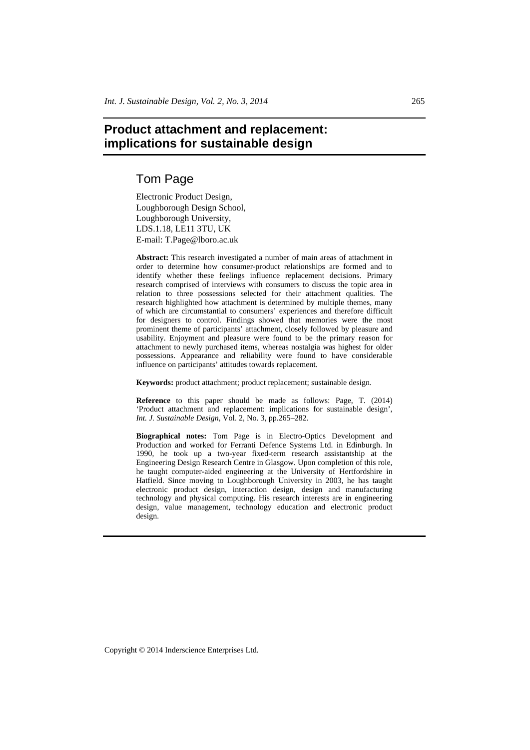# **Product attachment and replacement: implications for sustainable design**

# Tom Page

Electronic Product Design, Loughborough Design School, Loughborough University, LDS.1.18, LE11 3TU, UK E-mail: T.Page@lboro.ac.uk

**Abstract:** This research investigated a number of main areas of attachment in order to determine how consumer-product relationships are formed and to identify whether these feelings influence replacement decisions. Primary research comprised of interviews with consumers to discuss the topic area in relation to three possessions selected for their attachment qualities. The research highlighted how attachment is determined by multiple themes, many of which are circumstantial to consumers' experiences and therefore difficult for designers to control. Findings showed that memories were the most prominent theme of participants' attachment, closely followed by pleasure and usability. Enjoyment and pleasure were found to be the primary reason for attachment to newly purchased items, whereas nostalgia was highest for older possessions. Appearance and reliability were found to have considerable influence on participants' attitudes towards replacement.

**Keywords:** product attachment; product replacement; sustainable design.

**Reference** to this paper should be made as follows: Page, T. (2014) 'Product attachment and replacement: implications for sustainable design', *Int. J. Sustainable Design*, Vol. 2, No. 3, pp.265–282.

**Biographical notes:** Tom Page is in Electro-Optics Development and Production and worked for Ferranti Defence Systems Ltd. in Edinburgh. In 1990, he took up a two-year fixed-term research assistantship at the Engineering Design Research Centre in Glasgow. Upon completion of this role, he taught computer-aided engineering at the University of Hertfordshire in Hatfield. Since moving to Loughborough University in 2003, he has taught electronic product design, interaction design, design and manufacturing technology and physical computing. His research interests are in engineering design, value management, technology education and electronic product design.

Copyright © 2014 Inderscience Enterprises Ltd.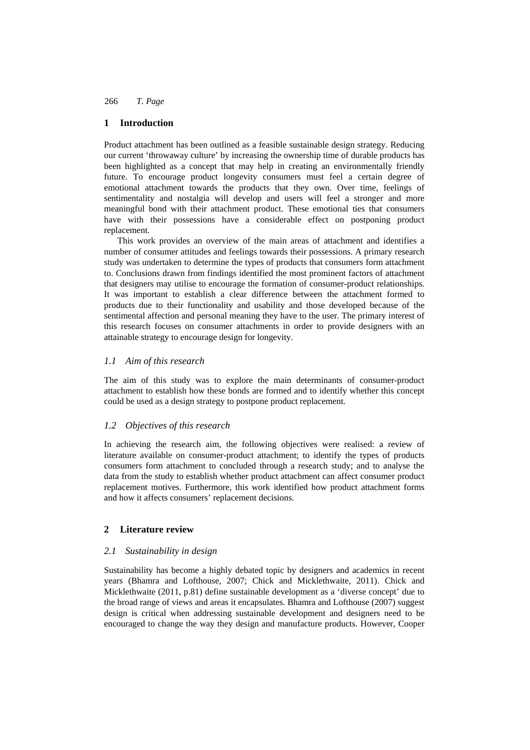### **1 Introduction**

Product attachment has been outlined as a feasible sustainable design strategy. Reducing our current 'throwaway culture' by increasing the ownership time of durable products has been highlighted as a concept that may help in creating an environmentally friendly future. To encourage product longevity consumers must feel a certain degree of emotional attachment towards the products that they own. Over time, feelings of sentimentality and nostalgia will develop and users will feel a stronger and more meaningful bond with their attachment product. These emotional ties that consumers have with their possessions have a considerable effect on postponing product replacement.

This work provides an overview of the main areas of attachment and identifies a number of consumer attitudes and feelings towards their possessions. A primary research study was undertaken to determine the types of products that consumers form attachment to. Conclusions drawn from findings identified the most prominent factors of attachment that designers may utilise to encourage the formation of consumer-product relationships. It was important to establish a clear difference between the attachment formed to products due to their functionality and usability and those developed because of the sentimental affection and personal meaning they have to the user. The primary interest of this research focuses on consumer attachments in order to provide designers with an attainable strategy to encourage design for longevity.

#### *1.1 Aim of this research*

The aim of this study was to explore the main determinants of consumer-product attachment to establish how these bonds are formed and to identify whether this concept could be used as a design strategy to postpone product replacement.

### *1.2 Objectives of this research*

In achieving the research aim, the following objectives were realised: a review of literature available on consumer-product attachment; to identify the types of products consumers form attachment to concluded through a research study; and to analyse the data from the study to establish whether product attachment can affect consumer product replacement motives. Furthermore, this work identified how product attachment forms and how it affects consumers' replacement decisions.

# **2 Literature review**

#### *2.1 Sustainability in design*

Sustainability has become a highly debated topic by designers and academics in recent years (Bhamra and Lofthouse, 2007; Chick and Micklethwaite, 2011). Chick and Micklethwaite (2011, p.81) define sustainable development as a 'diverse concept' due to the broad range of views and areas it encapsulates. Bhamra and Lofthouse (2007) suggest design is critical when addressing sustainable development and designers need to be encouraged to change the way they design and manufacture products. However, Cooper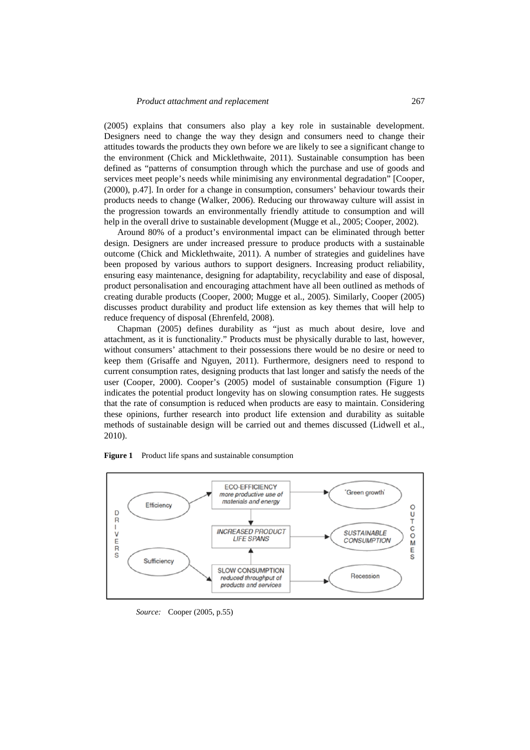(2005) explains that consumers also play a key role in sustainable development. Designers need to change the way they design and consumers need to change their attitudes towards the products they own before we are likely to see a significant change to the environment (Chick and Micklethwaite, 2011). Sustainable consumption has been defined as "patterns of consumption through which the purchase and use of goods and services meet people's needs while minimising any environmental degradation" [Cooper, (2000), p.47]. In order for a change in consumption, consumers' behaviour towards their products needs to change (Walker, 2006). Reducing our throwaway culture will assist in the progression towards an environmentally friendly attitude to consumption and will help in the overall drive to sustainable development (Mugge et al., 2005; Cooper, 2002).

Around 80% of a product's environmental impact can be eliminated through better design. Designers are under increased pressure to produce products with a sustainable outcome (Chick and Micklethwaite, 2011). A number of strategies and guidelines have been proposed by various authors to support designers. Increasing product reliability, ensuring easy maintenance, designing for adaptability, recyclability and ease of disposal, product personalisation and encouraging attachment have all been outlined as methods of creating durable products (Cooper, 2000; Mugge et al., 2005). Similarly, Cooper (2005) discusses product durability and product life extension as key themes that will help to reduce frequency of disposal (Ehrenfeld, 2008).

Chapman (2005) defines durability as "just as much about desire, love and attachment, as it is functionality." Products must be physically durable to last, however, without consumers' attachment to their possessions there would be no desire or need to keep them (Grisaffe and Nguyen, 2011). Furthermore, designers need to respond to current consumption rates, designing products that last longer and satisfy the needs of the user (Cooper, 2000). Cooper's (2005) model of sustainable consumption (Figure 1) indicates the potential product longevity has on slowing consumption rates. He suggests that the rate of consumption is reduced when products are easy to maintain. Considering these opinions, further research into product life extension and durability as suitable methods of sustainable design will be carried out and themes discussed (Lidwell et al., 2010).

**Figure 1** Product life spans and sustainable consumption



*Source:* Cooper (2005, p.55)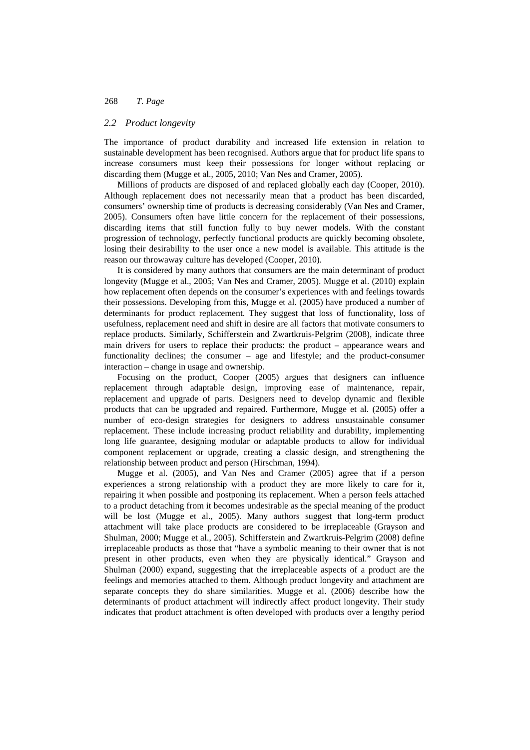### *2.2 Product longevity*

The importance of product durability and increased life extension in relation to sustainable development has been recognised. Authors argue that for product life spans to increase consumers must keep their possessions for longer without replacing or discarding them (Mugge et al., 2005, 2010; Van Nes and Cramer, 2005).

Millions of products are disposed of and replaced globally each day (Cooper, 2010). Although replacement does not necessarily mean that a product has been discarded, consumers' ownership time of products is decreasing considerably (Van Nes and Cramer, 2005). Consumers often have little concern for the replacement of their possessions, discarding items that still function fully to buy newer models. With the constant progression of technology, perfectly functional products are quickly becoming obsolete, losing their desirability to the user once a new model is available. This attitude is the reason our throwaway culture has developed (Cooper, 2010).

It is considered by many authors that consumers are the main determinant of product longevity (Mugge et al., 2005; Van Nes and Cramer, 2005). Mugge et al. (2010) explain how replacement often depends on the consumer's experiences with and feelings towards their possessions. Developing from this, Mugge et al. (2005) have produced a number of determinants for product replacement. They suggest that loss of functionality, loss of usefulness, replacement need and shift in desire are all factors that motivate consumers to replace products. Similarly, Schifferstein and Zwartkruis-Pelgrim (2008), indicate three main drivers for users to replace their products: the product – appearance wears and functionality declines; the consumer – age and lifestyle; and the product-consumer interaction – change in usage and ownership.

Focusing on the product, Cooper (2005) argues that designers can influence replacement through adaptable design, improving ease of maintenance, repair, replacement and upgrade of parts. Designers need to develop dynamic and flexible products that can be upgraded and repaired. Furthermore, Mugge et al. (2005) offer a number of eco-design strategies for designers to address unsustainable consumer replacement. These include increasing product reliability and durability, implementing long life guarantee, designing modular or adaptable products to allow for individual component replacement or upgrade, creating a classic design, and strengthening the relationship between product and person (Hirschman, 1994).

Mugge et al. (2005), and Van Nes and Cramer (2005) agree that if a person experiences a strong relationship with a product they are more likely to care for it, repairing it when possible and postponing its replacement. When a person feels attached to a product detaching from it becomes undesirable as the special meaning of the product will be lost (Mugge et al., 2005). Many authors suggest that long-term product attachment will take place products are considered to be irreplaceable (Grayson and Shulman, 2000; Mugge et al., 2005). Schifferstein and Zwartkruis-Pelgrim (2008) define irreplaceable products as those that "have a symbolic meaning to their owner that is not present in other products, even when they are physically identical." Grayson and Shulman (2000) expand, suggesting that the irreplaceable aspects of a product are the feelings and memories attached to them. Although product longevity and attachment are separate concepts they do share similarities. Mugge et al. (2006) describe how the determinants of product attachment will indirectly affect product longevity. Their study indicates that product attachment is often developed with products over a lengthy period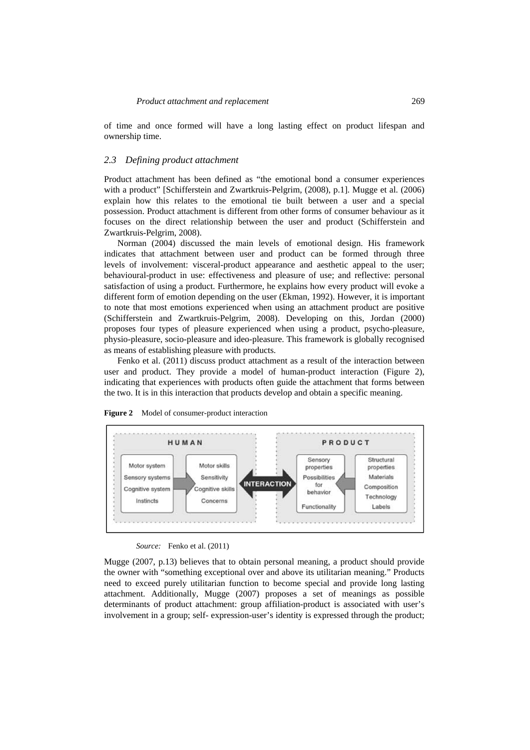of time and once formed will have a long lasting effect on product lifespan and ownership time.

### *2.3 Defining product attachment*

Product attachment has been defined as "the emotional bond a consumer experiences with a product" [Schifferstein and Zwartkruis-Pelgrim, (2008), p.1]. Mugge et al. (2006) explain how this relates to the emotional tie built between a user and a special possession. Product attachment is different from other forms of consumer behaviour as it focuses on the direct relationship between the user and product (Schifferstein and Zwartkruis-Pelgrim, 2008).

Norman (2004) discussed the main levels of emotional design. His framework indicates that attachment between user and product can be formed through three levels of involvement: visceral-product appearance and aesthetic appeal to the user; behavioural-product in use: effectiveness and pleasure of use; and reflective: personal satisfaction of using a product. Furthermore, he explains how every product will evoke a different form of emotion depending on the user (Ekman, 1992). However, it is important to note that most emotions experienced when using an attachment product are positive (Schifferstein and Zwartkruis-Pelgrim, 2008). Developing on this, Jordan (2000) proposes four types of pleasure experienced when using a product, psycho-pleasure, physio-pleasure, socio-pleasure and ideo-pleasure. This framework is globally recognised as means of establishing pleasure with products.

Fenko et al. (2011) discuss product attachment as a result of the interaction between user and product. They provide a model of human-product interaction (Figure 2), indicating that experiences with products often guide the attachment that forms between the two. It is in this interaction that products develop and obtain a specific meaning.



#### **Figure 2** Model of consumer-product interaction

*Source:* Fenko et al. (2011)

Mugge (2007, p.13) believes that to obtain personal meaning, a product should provide the owner with "something exceptional over and above its utilitarian meaning." Products need to exceed purely utilitarian function to become special and provide long lasting attachment. Additionally, Mugge (2007) proposes a set of meanings as possible determinants of product attachment: group affiliation-product is associated with user's involvement in a group; self- expression-user's identity is expressed through the product;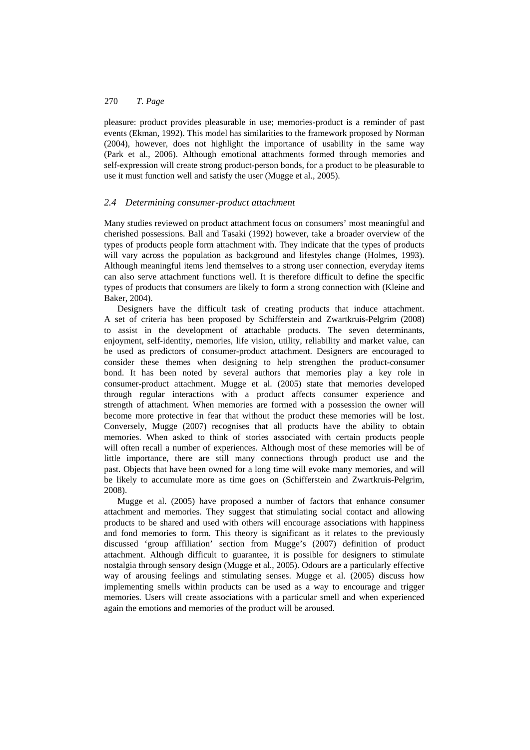pleasure: product provides pleasurable in use; memories-product is a reminder of past events (Ekman, 1992). This model has similarities to the framework proposed by Norman (2004), however, does not highlight the importance of usability in the same way (Park et al., 2006). Although emotional attachments formed through memories and self-expression will create strong product-person bonds, for a product to be pleasurable to use it must function well and satisfy the user (Mugge et al., 2005).

### *2.4 Determining consumer-product attachment*

Many studies reviewed on product attachment focus on consumers' most meaningful and cherished possessions. Ball and Tasaki (1992) however, take a broader overview of the types of products people form attachment with. They indicate that the types of products will vary across the population as background and lifestyles change (Holmes, 1993). Although meaningful items lend themselves to a strong user connection, everyday items can also serve attachment functions well. It is therefore difficult to define the specific types of products that consumers are likely to form a strong connection with (Kleine and Baker, 2004).

Designers have the difficult task of creating products that induce attachment. A set of criteria has been proposed by Schifferstein and Zwartkruis-Pelgrim (2008) to assist in the development of attachable products. The seven determinants, enjoyment, self-identity, memories, life vision, utility, reliability and market value, can be used as predictors of consumer-product attachment. Designers are encouraged to consider these themes when designing to help strengthen the product-consumer bond. It has been noted by several authors that memories play a key role in consumer-product attachment. Mugge et al. (2005) state that memories developed through regular interactions with a product affects consumer experience and strength of attachment. When memories are formed with a possession the owner will become more protective in fear that without the product these memories will be lost. Conversely, Mugge (2007) recognises that all products have the ability to obtain memories. When asked to think of stories associated with certain products people will often recall a number of experiences. Although most of these memories will be of little importance, there are still many connections through product use and the past. Objects that have been owned for a long time will evoke many memories, and will be likely to accumulate more as time goes on (Schifferstein and Zwartkruis-Pelgrim, 2008).

Mugge et al. (2005) have proposed a number of factors that enhance consumer attachment and memories. They suggest that stimulating social contact and allowing products to be shared and used with others will encourage associations with happiness and fond memories to form. This theory is significant as it relates to the previously discussed 'group affiliation' section from Mugge's (2007) definition of product attachment. Although difficult to guarantee, it is possible for designers to stimulate nostalgia through sensory design (Mugge et al., 2005). Odours are a particularly effective way of arousing feelings and stimulating senses. Mugge et al. (2005) discuss how implementing smells within products can be used as a way to encourage and trigger memories. Users will create associations with a particular smell and when experienced again the emotions and memories of the product will be aroused.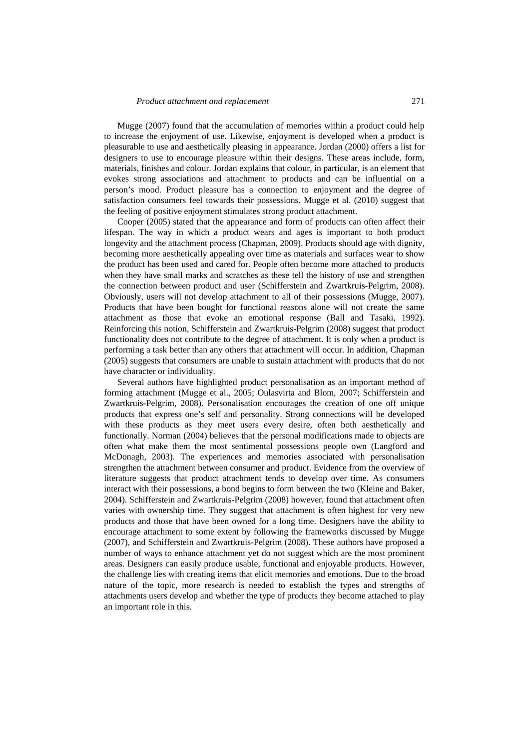#### *Product attachment and replacement* 271

Mugge (2007) found that the accumulation of memories within a product could help to increase the enjoyment of use. Likewise, enjoyment is developed when a product is pleasurable to use and aesthetically pleasing in appearance. Jordan (2000) offers a list for designers to use to encourage pleasure within their designs. These areas include, form, materials, finishes and colour. Jordan explains that colour, in particular, is an element that evokes strong associations and attachment to products and can be influential on a person's mood. Product pleasure has a connection to enjoyment and the degree of satisfaction consumers feel towards their possessions. Mugge et al. (2010) suggest that the feeling of positive enjoyment stimulates strong product attachment.

Cooper (2005) stated that the appearance and form of products can often affect their lifespan. The way in which a product wears and ages is important to both product longevity and the attachment process (Chapman, 2009). Products should age with dignity, becoming more aesthetically appealing over time as materials and surfaces wear to show the product has been used and cared for. People often become more attached to products when they have small marks and scratches as these tell the history of use and strengthen the connection between product and user (Schifferstein and Zwartkruis-Pelgrim, 2008). Obviously, users will not develop attachment to all of their possessions (Mugge, 2007). Products that have been bought for functional reasons alone will not create the same attachment as those that evoke an emotional response (Ball and Tasaki, 1992). Reinforcing this notion, Schifferstein and Zwartkruis-Pelgrim (2008) suggest that product functionality does not contribute to the degree of attachment. It is only when a product is performing a task better than any others that attachment will occur. In addition, Chapman (2005) suggests that consumers are unable to sustain attachment with products that do not have character or individuality.

Several authors have highlighted product personalisation as an important method of forming attachment (Mugge et al., 2005; Oulasvirta and Blom, 2007; Schifferstein and Zwartkruis-Pelgrim, 2008). Personalisation encourages the creation of one off unique products that express one's self and personality. Strong connections will be developed with these products as they meet users every desire, often both aesthetically and functionally. Norman (2004) believes that the personal modifications made to objects are often what make them the most sentimental possessions people own (Langford and McDonagh, 2003). The experiences and memories associated with personalisation strengthen the attachment between consumer and product. Evidence from the overview of literature suggests that product attachment tends to develop over time. As consumers interact with their possessions, a bond begins to form between the two (Kleine and Baker, 2004). Schifferstein and Zwartkruis-Pelgrim (2008) however, found that attachment often varies with ownership time. They suggest that attachment is often highest for very new products and those that have been owned for a long time. Designers have the ability to encourage attachment to some extent by following the frameworks discussed by Mugge (2007), and Schifferstein and Zwartkruis-Pelgrim (2008). These authors have proposed a number of ways to enhance attachment yet do not suggest which are the most prominent areas. Designers can easily produce usable, functional and enjoyable products. However, the challenge lies with creating items that elicit memories and emotions. Due to the broad nature of the topic, more research is needed to establish the types and strengths of attachments users develop and whether the type of products they become attached to play an important role in this.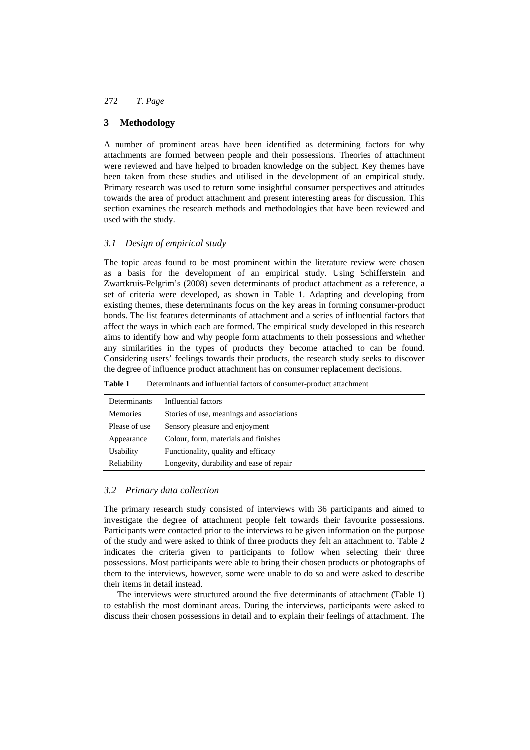### **3 Methodology**

A number of prominent areas have been identified as determining factors for why attachments are formed between people and their possessions. Theories of attachment were reviewed and have helped to broaden knowledge on the subject. Key themes have been taken from these studies and utilised in the development of an empirical study. Primary research was used to return some insightful consumer perspectives and attitudes towards the area of product attachment and present interesting areas for discussion. This section examines the research methods and methodologies that have been reviewed and used with the study.

### *3.1 Design of empirical study*

The topic areas found to be most prominent within the literature review were chosen as a basis for the development of an empirical study. Using Schifferstein and Zwartkruis-Pelgrim's (2008) seven determinants of product attachment as a reference, a set of criteria were developed, as shown in Table 1. Adapting and developing from existing themes, these determinants focus on the key areas in forming consumer-product bonds. The list features determinants of attachment and a series of influential factors that affect the ways in which each are formed. The empirical study developed in this research aims to identify how and why people form attachments to their possessions and whether any similarities in the types of products they become attached to can be found. Considering users' feelings towards their products, the research study seeks to discover the degree of influence product attachment has on consumer replacement decisions.

**Table 1** Determinants and influential factors of consumer-product attachment

| Determinants    | Influential factors                       |
|-----------------|-------------------------------------------|
| <b>Memories</b> | Stories of use, meanings and associations |
| Please of use   | Sensory pleasure and enjoyment            |
| Appearance      | Colour, form, materials and finishes      |
| Usability       | Functionality, quality and efficacy       |
| Reliability     | Longevity, durability and ease of repair  |

#### *3.2 Primary data collection*

The primary research study consisted of interviews with 36 participants and aimed to investigate the degree of attachment people felt towards their favourite possessions. Participants were contacted prior to the interviews to be given information on the purpose of the study and were asked to think of three products they felt an attachment to. Table 2 indicates the criteria given to participants to follow when selecting their three possessions. Most participants were able to bring their chosen products or photographs of them to the interviews, however, some were unable to do so and were asked to describe their items in detail instead.

The interviews were structured around the five determinants of attachment (Table 1) to establish the most dominant areas. During the interviews, participants were asked to discuss their chosen possessions in detail and to explain their feelings of attachment. The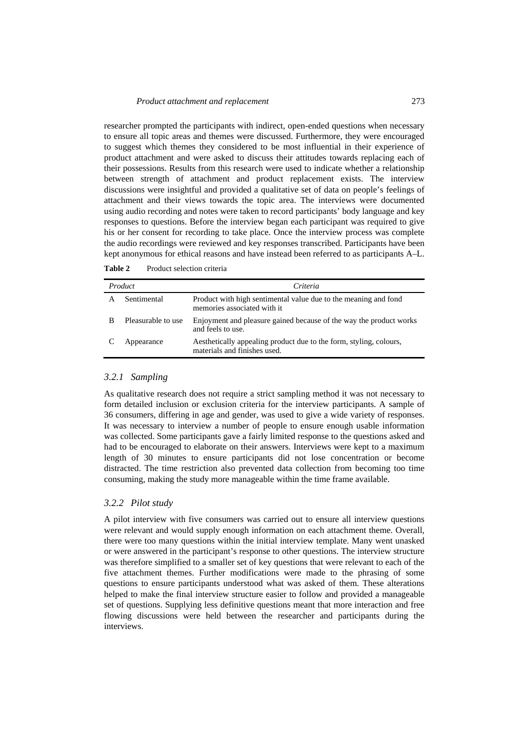researcher prompted the participants with indirect, open-ended questions when necessary to ensure all topic areas and themes were discussed. Furthermore, they were encouraged to suggest which themes they considered to be most influential in their experience of product attachment and were asked to discuss their attitudes towards replacing each of their possessions. Results from this research were used to indicate whether a relationship between strength of attachment and product replacement exists. The interview discussions were insightful and provided a qualitative set of data on people's feelings of attachment and their views towards the topic area. The interviews were documented using audio recording and notes were taken to record participants' body language and key responses to questions. Before the interview began each participant was required to give his or her consent for recording to take place. Once the interview process was complete the audio recordings were reviewed and key responses transcribed. Participants have been kept anonymous for ethical reasons and have instead been referred to as participants A–L.

**Table 2** Product selection criteria

| Product |                    | Criteria                                                                                           |
|---------|--------------------|----------------------------------------------------------------------------------------------------|
|         | Sentimental        | Product with high sentimental value due to the meaning and fond<br>memories associated with it     |
| в       | Pleasurable to use | Enjoyment and pleasure gained because of the way the product works<br>and feels to use.            |
|         | Appearance         | Aesthetically appealing product due to the form, styling, colours,<br>materials and finishes used. |

# *3.2.1 Sampling*

As qualitative research does not require a strict sampling method it was not necessary to form detailed inclusion or exclusion criteria for the interview participants. A sample of 36 consumers, differing in age and gender, was used to give a wide variety of responses. It was necessary to interview a number of people to ensure enough usable information was collected. Some participants gave a fairly limited response to the questions asked and had to be encouraged to elaborate on their answers. Interviews were kept to a maximum length of 30 minutes to ensure participants did not lose concentration or become distracted. The time restriction also prevented data collection from becoming too time consuming, making the study more manageable within the time frame available.

### *3.2.2 Pilot study*

A pilot interview with five consumers was carried out to ensure all interview questions were relevant and would supply enough information on each attachment theme. Overall, there were too many questions within the initial interview template. Many went unasked or were answered in the participant's response to other questions. The interview structure was therefore simplified to a smaller set of key questions that were relevant to each of the five attachment themes. Further modifications were made to the phrasing of some questions to ensure participants understood what was asked of them. These alterations helped to make the final interview structure easier to follow and provided a manageable set of questions. Supplying less definitive questions meant that more interaction and free flowing discussions were held between the researcher and participants during the interviews.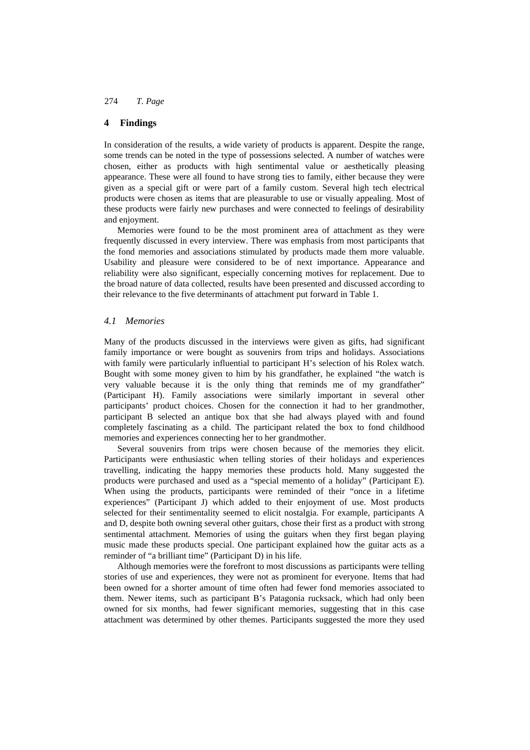### **4 Findings**

In consideration of the results, a wide variety of products is apparent. Despite the range, some trends can be noted in the type of possessions selected. A number of watches were chosen, either as products with high sentimental value or aesthetically pleasing appearance. These were all found to have strong ties to family, either because they were given as a special gift or were part of a family custom. Several high tech electrical products were chosen as items that are pleasurable to use or visually appealing. Most of these products were fairly new purchases and were connected to feelings of desirability and enjoyment.

Memories were found to be the most prominent area of attachment as they were frequently discussed in every interview. There was emphasis from most participants that the fond memories and associations stimulated by products made them more valuable. Usability and pleasure were considered to be of next importance. Appearance and reliability were also significant, especially concerning motives for replacement. Due to the broad nature of data collected, results have been presented and discussed according to their relevance to the five determinants of attachment put forward in Table 1.

### *4.1 Memories*

Many of the products discussed in the interviews were given as gifts, had significant family importance or were bought as souvenirs from trips and holidays. Associations with family were particularly influential to participant H's selection of his Rolex watch. Bought with some money given to him by his grandfather, he explained "the watch is very valuable because it is the only thing that reminds me of my grandfather" (Participant H). Family associations were similarly important in several other participants' product choices. Chosen for the connection it had to her grandmother, participant B selected an antique box that she had always played with and found completely fascinating as a child. The participant related the box to fond childhood memories and experiences connecting her to her grandmother.

Several souvenirs from trips were chosen because of the memories they elicit. Participants were enthusiastic when telling stories of their holidays and experiences travelling, indicating the happy memories these products hold. Many suggested the products were purchased and used as a "special memento of a holiday" (Participant E). When using the products, participants were reminded of their "once in a lifetime experiences" (Participant J) which added to their enjoyment of use. Most products selected for their sentimentality seemed to elicit nostalgia. For example, participants A and D, despite both owning several other guitars, chose their first as a product with strong sentimental attachment. Memories of using the guitars when they first began playing music made these products special. One participant explained how the guitar acts as a reminder of "a brilliant time" (Participant D) in his life.

Although memories were the forefront to most discussions as participants were telling stories of use and experiences, they were not as prominent for everyone. Items that had been owned for a shorter amount of time often had fewer fond memories associated to them. Newer items, such as participant B's Patagonia rucksack, which had only been owned for six months, had fewer significant memories, suggesting that in this case attachment was determined by other themes. Participants suggested the more they used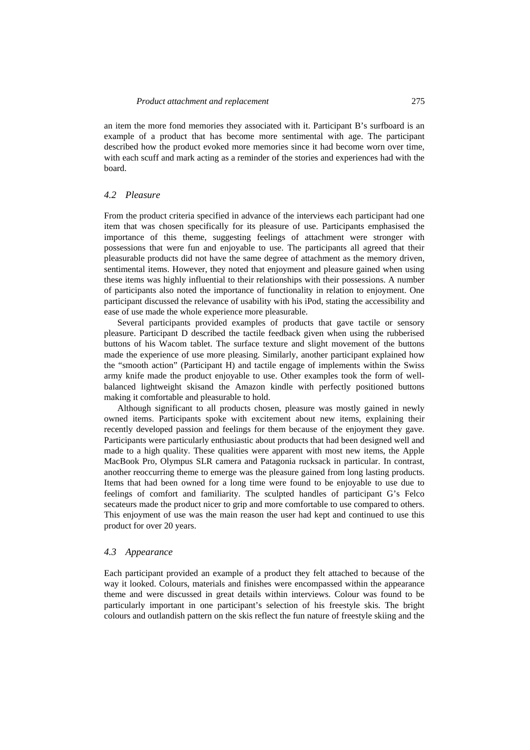an item the more fond memories they associated with it. Participant B's surfboard is an example of a product that has become more sentimental with age. The participant described how the product evoked more memories since it had become worn over time, with each scuff and mark acting as a reminder of the stories and experiences had with the board.

### *4.2 Pleasure*

From the product criteria specified in advance of the interviews each participant had one item that was chosen specifically for its pleasure of use. Participants emphasised the importance of this theme, suggesting feelings of attachment were stronger with possessions that were fun and enjoyable to use. The participants all agreed that their pleasurable products did not have the same degree of attachment as the memory driven, sentimental items. However, they noted that enjoyment and pleasure gained when using these items was highly influential to their relationships with their possessions. A number of participants also noted the importance of functionality in relation to enjoyment. One participant discussed the relevance of usability with his iPod, stating the accessibility and ease of use made the whole experience more pleasurable.

Several participants provided examples of products that gave tactile or sensory pleasure. Participant D described the tactile feedback given when using the rubberised buttons of his Wacom tablet. The surface texture and slight movement of the buttons made the experience of use more pleasing. Similarly, another participant explained how the "smooth action" (Participant H) and tactile engage of implements within the Swiss army knife made the product enjoyable to use. Other examples took the form of wellbalanced lightweight skisand the Amazon kindle with perfectly positioned buttons making it comfortable and pleasurable to hold.

Although significant to all products chosen, pleasure was mostly gained in newly owned items. Participants spoke with excitement about new items, explaining their recently developed passion and feelings for them because of the enjoyment they gave. Participants were particularly enthusiastic about products that had been designed well and made to a high quality. These qualities were apparent with most new items, the Apple MacBook Pro, Olympus SLR camera and Patagonia rucksack in particular. In contrast, another reoccurring theme to emerge was the pleasure gained from long lasting products. Items that had been owned for a long time were found to be enjoyable to use due to feelings of comfort and familiarity. The sculpted handles of participant G's Felco secateurs made the product nicer to grip and more comfortable to use compared to others. This enjoyment of use was the main reason the user had kept and continued to use this product for over 20 years.

### *4.3 Appearance*

Each participant provided an example of a product they felt attached to because of the way it looked. Colours, materials and finishes were encompassed within the appearance theme and were discussed in great details within interviews. Colour was found to be particularly important in one participant's selection of his freestyle skis. The bright colours and outlandish pattern on the skis reflect the fun nature of freestyle skiing and the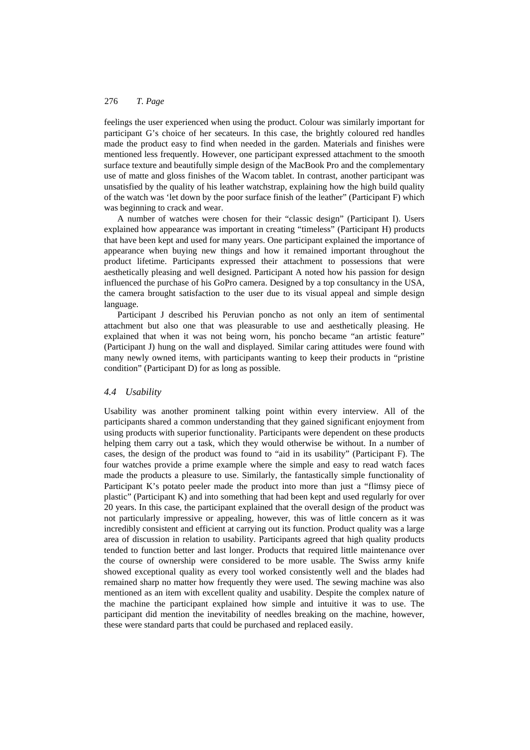feelings the user experienced when using the product. Colour was similarly important for participant G's choice of her secateurs. In this case, the brightly coloured red handles made the product easy to find when needed in the garden. Materials and finishes were mentioned less frequently. However, one participant expressed attachment to the smooth surface texture and beautifully simple design of the MacBook Pro and the complementary use of matte and gloss finishes of the Wacom tablet. In contrast, another participant was unsatisfied by the quality of his leather watchstrap, explaining how the high build quality of the watch was 'let down by the poor surface finish of the leather" (Participant F) which was beginning to crack and wear.

A number of watches were chosen for their "classic design" (Participant I). Users explained how appearance was important in creating "timeless" (Participant H) products that have been kept and used for many years. One participant explained the importance of appearance when buying new things and how it remained important throughout the product lifetime. Participants expressed their attachment to possessions that were aesthetically pleasing and well designed. Participant A noted how his passion for design influenced the purchase of his GoPro camera. Designed by a top consultancy in the USA, the camera brought satisfaction to the user due to its visual appeal and simple design language.

Participant J described his Peruvian poncho as not only an item of sentimental attachment but also one that was pleasurable to use and aesthetically pleasing. He explained that when it was not being worn, his poncho became "an artistic feature" (Participant J) hung on the wall and displayed. Similar caring attitudes were found with many newly owned items, with participants wanting to keep their products in "pristine condition" (Participant D) for as long as possible.

#### *4.4 Usability*

Usability was another prominent talking point within every interview. All of the participants shared a common understanding that they gained significant enjoyment from using products with superior functionality. Participants were dependent on these products helping them carry out a task, which they would otherwise be without. In a number of cases, the design of the product was found to "aid in its usability" (Participant F). The four watches provide a prime example where the simple and easy to read watch faces made the products a pleasure to use. Similarly, the fantastically simple functionality of Participant K's potato peeler made the product into more than just a "flimsy piece of plastic" (Participant K) and into something that had been kept and used regularly for over 20 years. In this case, the participant explained that the overall design of the product was not particularly impressive or appealing, however, this was of little concern as it was incredibly consistent and efficient at carrying out its function. Product quality was a large area of discussion in relation to usability. Participants agreed that high quality products tended to function better and last longer. Products that required little maintenance over the course of ownership were considered to be more usable. The Swiss army knife showed exceptional quality as every tool worked consistently well and the blades had remained sharp no matter how frequently they were used. The sewing machine was also mentioned as an item with excellent quality and usability. Despite the complex nature of the machine the participant explained how simple and intuitive it was to use. The participant did mention the inevitability of needles breaking on the machine, however, these were standard parts that could be purchased and replaced easily.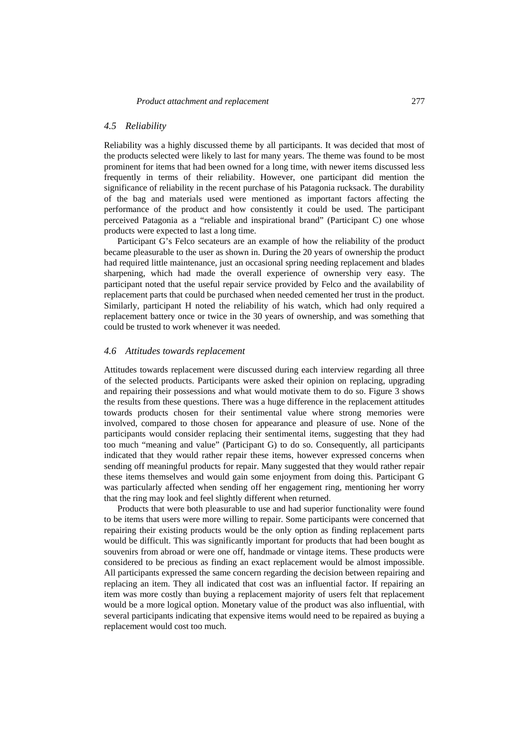### *4.5 Reliability*

Reliability was a highly discussed theme by all participants. It was decided that most of the products selected were likely to last for many years. The theme was found to be most prominent for items that had been owned for a long time, with newer items discussed less frequently in terms of their reliability. However, one participant did mention the significance of reliability in the recent purchase of his Patagonia rucksack. The durability of the bag and materials used were mentioned as important factors affecting the performance of the product and how consistently it could be used. The participant perceived Patagonia as a "reliable and inspirational brand" (Participant C) one whose products were expected to last a long time.

Participant G's Felco secateurs are an example of how the reliability of the product became pleasurable to the user as shown in. During the 20 years of ownership the product had required little maintenance, just an occasional spring needing replacement and blades sharpening, which had made the overall experience of ownership very easy. The participant noted that the useful repair service provided by Felco and the availability of replacement parts that could be purchased when needed cemented her trust in the product. Similarly, participant H noted the reliability of his watch, which had only required a replacement battery once or twice in the 30 years of ownership, and was something that could be trusted to work whenever it was needed.

### *4.6 Attitudes towards replacement*

Attitudes towards replacement were discussed during each interview regarding all three of the selected products. Participants were asked their opinion on replacing, upgrading and repairing their possessions and what would motivate them to do so. Figure 3 shows the results from these questions. There was a huge difference in the replacement attitudes towards products chosen for their sentimental value where strong memories were involved, compared to those chosen for appearance and pleasure of use. None of the participants would consider replacing their sentimental items, suggesting that they had too much "meaning and value" (Participant G) to do so. Consequently, all participants indicated that they would rather repair these items, however expressed concerns when sending off meaningful products for repair. Many suggested that they would rather repair these items themselves and would gain some enjoyment from doing this. Participant G was particularly affected when sending off her engagement ring, mentioning her worry that the ring may look and feel slightly different when returned.

Products that were both pleasurable to use and had superior functionality were found to be items that users were more willing to repair. Some participants were concerned that repairing their existing products would be the only option as finding replacement parts would be difficult. This was significantly important for products that had been bought as souvenirs from abroad or were one off, handmade or vintage items. These products were considered to be precious as finding an exact replacement would be almost impossible. All participants expressed the same concern regarding the decision between repairing and replacing an item. They all indicated that cost was an influential factor. If repairing an item was more costly than buying a replacement majority of users felt that replacement would be a more logical option. Monetary value of the product was also influential, with several participants indicating that expensive items would need to be repaired as buying a replacement would cost too much.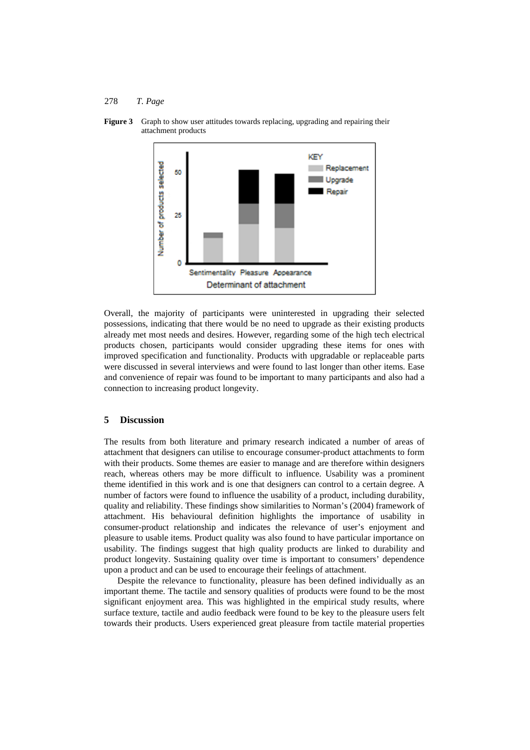



Overall, the majority of participants were uninterested in upgrading their selected possessions, indicating that there would be no need to upgrade as their existing products already met most needs and desires. However, regarding some of the high tech electrical products chosen, participants would consider upgrading these items for ones with improved specification and functionality. Products with upgradable or replaceable parts were discussed in several interviews and were found to last longer than other items. Ease and convenience of repair was found to be important to many participants and also had a connection to increasing product longevity.

### **5 Discussion**

The results from both literature and primary research indicated a number of areas of attachment that designers can utilise to encourage consumer-product attachments to form with their products. Some themes are easier to manage and are therefore within designers reach, whereas others may be more difficult to influence. Usability was a prominent theme identified in this work and is one that designers can control to a certain degree. A number of factors were found to influence the usability of a product, including durability, quality and reliability. These findings show similarities to Norman's (2004) framework of attachment. His behavioural definition highlights the importance of usability in consumer-product relationship and indicates the relevance of user's enjoyment and pleasure to usable items. Product quality was also found to have particular importance on usability. The findings suggest that high quality products are linked to durability and product longevity. Sustaining quality over time is important to consumers' dependence upon a product and can be used to encourage their feelings of attachment.

Despite the relevance to functionality, pleasure has been defined individually as an important theme. The tactile and sensory qualities of products were found to be the most significant enjoyment area. This was highlighted in the empirical study results, where surface texture, tactile and audio feedback were found to be key to the pleasure users felt towards their products. Users experienced great pleasure from tactile material properties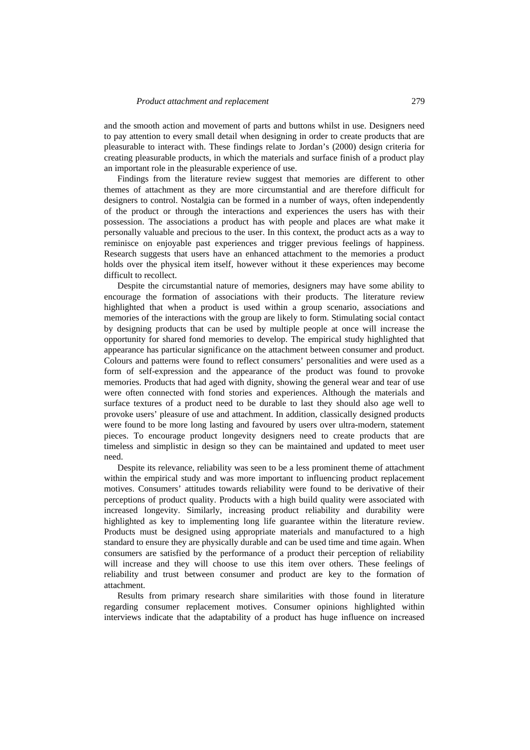and the smooth action and movement of parts and buttons whilst in use. Designers need to pay attention to every small detail when designing in order to create products that are pleasurable to interact with. These findings relate to Jordan's (2000) design criteria for creating pleasurable products, in which the materials and surface finish of a product play an important role in the pleasurable experience of use.

Findings from the literature review suggest that memories are different to other themes of attachment as they are more circumstantial and are therefore difficult for designers to control. Nostalgia can be formed in a number of ways, often independently of the product or through the interactions and experiences the users has with their possession. The associations a product has with people and places are what make it personally valuable and precious to the user. In this context, the product acts as a way to reminisce on enjoyable past experiences and trigger previous feelings of happiness. Research suggests that users have an enhanced attachment to the memories a product holds over the physical item itself, however without it these experiences may become difficult to recollect.

Despite the circumstantial nature of memories, designers may have some ability to encourage the formation of associations with their products. The literature review highlighted that when a product is used within a group scenario, associations and memories of the interactions with the group are likely to form. Stimulating social contact by designing products that can be used by multiple people at once will increase the opportunity for shared fond memories to develop. The empirical study highlighted that appearance has particular significance on the attachment between consumer and product. Colours and patterns were found to reflect consumers' personalities and were used as a form of self-expression and the appearance of the product was found to provoke memories. Products that had aged with dignity, showing the general wear and tear of use were often connected with fond stories and experiences. Although the materials and surface textures of a product need to be durable to last they should also age well to provoke users' pleasure of use and attachment. In addition, classically designed products were found to be more long lasting and favoured by users over ultra-modern, statement pieces. To encourage product longevity designers need to create products that are timeless and simplistic in design so they can be maintained and updated to meet user need.

Despite its relevance, reliability was seen to be a less prominent theme of attachment within the empirical study and was more important to influencing product replacement motives. Consumers' attitudes towards reliability were found to be derivative of their perceptions of product quality. Products with a high build quality were associated with increased longevity. Similarly, increasing product reliability and durability were highlighted as key to implementing long life guarantee within the literature review. Products must be designed using appropriate materials and manufactured to a high standard to ensure they are physically durable and can be used time and time again. When consumers are satisfied by the performance of a product their perception of reliability will increase and they will choose to use this item over others. These feelings of reliability and trust between consumer and product are key to the formation of attachment.

Results from primary research share similarities with those found in literature regarding consumer replacement motives. Consumer opinions highlighted within interviews indicate that the adaptability of a product has huge influence on increased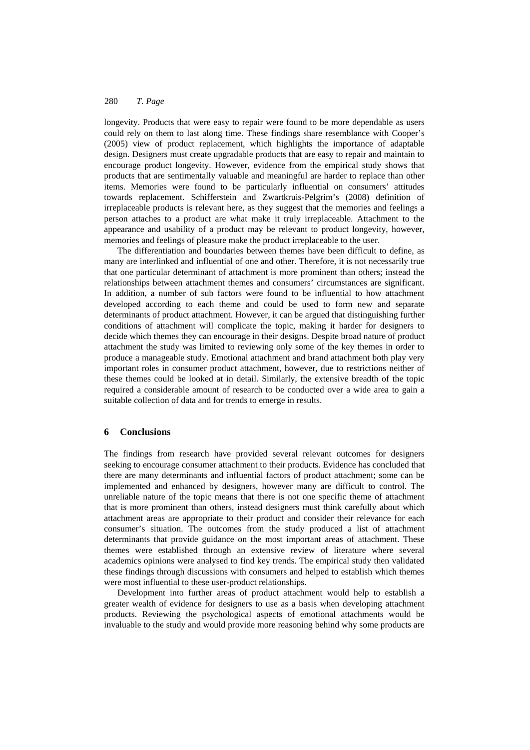longevity. Products that were easy to repair were found to be more dependable as users could rely on them to last along time. These findings share resemblance with Cooper's (2005) view of product replacement, which highlights the importance of adaptable design. Designers must create upgradable products that are easy to repair and maintain to encourage product longevity. However, evidence from the empirical study shows that products that are sentimentally valuable and meaningful are harder to replace than other items. Memories were found to be particularly influential on consumers' attitudes towards replacement. Schifferstein and Zwartkruis-Pelgrim's (2008) definition of irreplaceable products is relevant here, as they suggest that the memories and feelings a person attaches to a product are what make it truly irreplaceable. Attachment to the appearance and usability of a product may be relevant to product longevity, however, memories and feelings of pleasure make the product irreplaceable to the user.

The differentiation and boundaries between themes have been difficult to define, as many are interlinked and influential of one and other. Therefore, it is not necessarily true that one particular determinant of attachment is more prominent than others; instead the relationships between attachment themes and consumers' circumstances are significant. In addition, a number of sub factors were found to be influential to how attachment developed according to each theme and could be used to form new and separate determinants of product attachment. However, it can be argued that distinguishing further conditions of attachment will complicate the topic, making it harder for designers to decide which themes they can encourage in their designs. Despite broad nature of product attachment the study was limited to reviewing only some of the key themes in order to produce a manageable study. Emotional attachment and brand attachment both play very important roles in consumer product attachment, however, due to restrictions neither of these themes could be looked at in detail. Similarly, the extensive breadth of the topic required a considerable amount of research to be conducted over a wide area to gain a suitable collection of data and for trends to emerge in results.

### **6 Conclusions**

The findings from research have provided several relevant outcomes for designers seeking to encourage consumer attachment to their products. Evidence has concluded that there are many determinants and influential factors of product attachment; some can be implemented and enhanced by designers, however many are difficult to control. The unreliable nature of the topic means that there is not one specific theme of attachment that is more prominent than others, instead designers must think carefully about which attachment areas are appropriate to their product and consider their relevance for each consumer's situation. The outcomes from the study produced a list of attachment determinants that provide guidance on the most important areas of attachment. These themes were established through an extensive review of literature where several academics opinions were analysed to find key trends. The empirical study then validated these findings through discussions with consumers and helped to establish which themes were most influential to these user-product relationships.

Development into further areas of product attachment would help to establish a greater wealth of evidence for designers to use as a basis when developing attachment products. Reviewing the psychological aspects of emotional attachments would be invaluable to the study and would provide more reasoning behind why some products are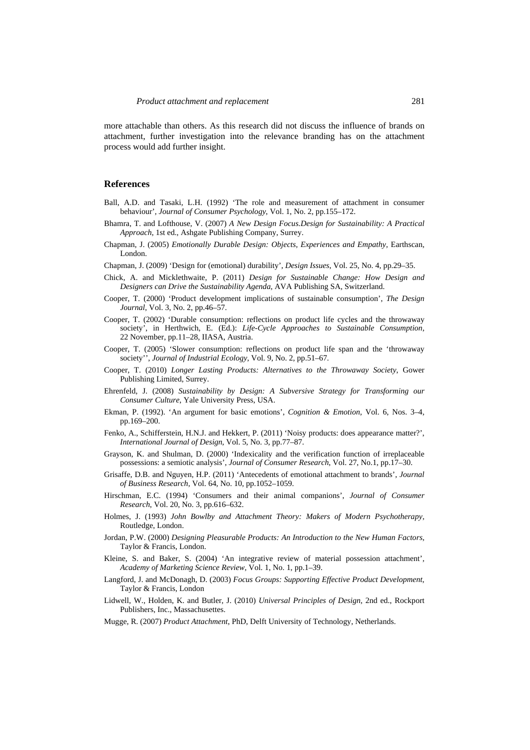more attachable than others. As this research did not discuss the influence of brands on attachment, further investigation into the relevance branding has on the attachment process would add further insight.

#### **References**

- Ball, A.D. and Tasaki, L.H. (1992) 'The role and measurement of attachment in consumer behaviour', *Journal of Consumer Psychology*, Vol. 1, No. 2, pp.155–172.
- Bhamra, T. and Lofthouse, V. (2007) *A New Design Focus.Design for Sustainability: A Practical Approach*, 1st ed., Ashgate Publishing Company, Surrey.
- Chapman, J. (2005) *Emotionally Durable Design: Objects, Experiences and Empathy*, Earthscan, London.
- Chapman, J. (2009) 'Design for (emotional) durability', *Design Issues*, Vol. 25, No. 4, pp.29–35.
- Chick, A. and Micklethwaite, P. (2011) *Design for Sustainable Change: How Design and Designers can Drive the Sustainability Agenda*, AVA Publishing SA, Switzerland.
- Cooper, T. (2000) 'Product development implications of sustainable consumption', *The Design Journal*, Vol. 3, No. 2, pp.46–57.
- Cooper, T. (2002) 'Durable consumption: reflections on product life cycles and the throwaway society', in Herthwich, E. (Ed.): *Life-Cycle Approaches to Sustainable Consumption*, 22 November, pp.11–28, IIASA, Austria.
- Cooper, T. (2005) 'Slower consumption: reflections on product life span and the 'throwaway society'', *Journal of Industrial Ecology*, Vol. 9, No. 2, pp.51–67.
- Cooper, T. (2010) *Longer Lasting Products: Alternatives to the Throwaway Society*, Gower Publishing Limited, Surrey.
- Ehrenfeld, J. (2008) *Sustainability by Design: A Subversive Strategy for Transforming our Consumer Culture*, Yale University Press, USA.
- Ekman, P. (1992). 'An argument for basic emotions', *Cognition & Emotion*, Vol. 6, Nos. 3–4, pp.169–200.
- Fenko, A., Schifferstein, H.N.J. and Hekkert, P. (2011) 'Noisy products: does appearance matter?', *International Journal of Design*, Vol. 5, No. 3, pp.77–87.
- Grayson, K. and Shulman, D. (2000) 'Indexicality and the verification function of irreplaceable possessions: a semiotic analysis', *Journal of Consumer Research*, Vol. 27, No.1, pp.17–30.
- Grisaffe, D.B. and Nguyen, H.P. (2011) 'Antecedents of emotional attachment to brands', *Journal of Business Research*, Vol. 64, No. 10, pp.1052–1059.
- Hirschman, E.C. (1994) 'Consumers and their animal companions', *Journal of Consumer Research*, Vol. 20, No. 3, pp.616–632.
- Holmes, J. (1993) *John Bowlby and Attachment Theory: Makers of Modern Psychotherapy*, Routledge, London.
- Jordan, P.W. (2000) *Designing Pleasurable Products: An Introduction to the New Human Factors*, Taylor & Francis, London.
- Kleine, S. and Baker, S. (2004) 'An integrative review of material possession attachment', *Academy of Marketing Science Review*, Vol. 1, No. 1, pp.1–39.
- Langford, J. and McDonagh, D. (2003) *Focus Groups: Supporting Effective Product Development*, Taylor & Francis, London
- Lidwell, W., Holden, K. and Butler, J. (2010) *Universal Principles of Design*, 2nd ed., Rockport Publishers, Inc., Massachusettes.
- Mugge, R. (2007) *Product Attachment*, PhD, Delft University of Technology, Netherlands.